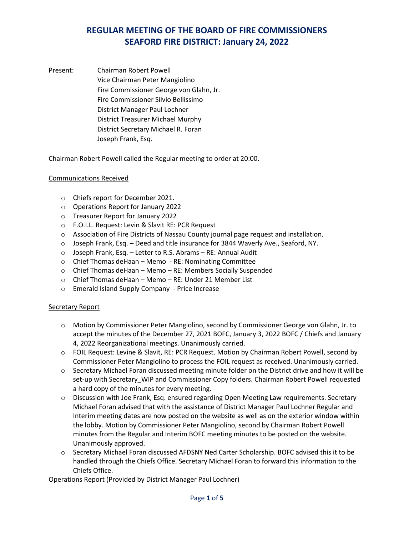Present: Chairman Robert Powell Vice Chairman Peter Mangiolino Fire Commissioner George von Glahn, Jr. Fire Commissioner Silvio Bellissimo District Manager Paul Lochner District Treasurer Michael Murphy District Secretary Michael R. Foran Joseph Frank, Esq.

Chairman Robert Powell called the Regular meeting to order at 20:00.

### Communications Received

- o Chiefs report for December 2021.
- o Operations Report for January 2022
- o Treasurer Report for January 2022
- o F.O.I.L. Request: Levin & Slavit RE: PCR Request
- o Association of Fire Districts of Nassau County journal page request and installation.
- o Joseph Frank, Esq. Deed and title insurance for 3844 Waverly Ave., Seaford, NY.
- o Joseph Frank, Esq. Letter to R.S. Abrams RE: Annual Audit
- o Chief Thomas deHaan Memo RE: Nominating Committee
- o Chief Thomas deHaan Memo RE: Members Socially Suspended
- o Chief Thomas deHaan Memo RE: Under 21 Member List
- o Emerald Island Supply Company Price Increase

### Secretary Report

- o Motion by Commissioner Peter Mangiolino, second by Commissioner George von Glahn, Jr. to accept the minutes of the December 27, 2021 BOFC, January 3, 2022 BOFC / Chiefs and January 4, 2022 Reorganizational meetings. Unanimously carried.
- o FOIL Request: Levine & Slavit, RE: PCR Request. Motion by Chairman Robert Powell, second by Commissioner Peter Mangiolino to process the FOIL request as received. Unanimously carried.
- o Secretary Michael Foran discussed meeting minute folder on the District drive and how it will be set-up with Secretary\_WIP and Commissioner Copy folders. Chairman Robert Powell requested a hard copy of the minutes for every meeting.
- o Discussion with Joe Frank, Esq. ensured regarding Open Meeting Law requirements. Secretary Michael Foran advised that with the assistance of District Manager Paul Lochner Regular and Interim meeting dates are now posted on the website as well as on the exterior window within the lobby. Motion by Commissioner Peter Mangiolino, second by Chairman Robert Powell minutes from the Regular and Interim BOFC meeting minutes to be posted on the website. Unanimously approved.
- o Secretary Michael Foran discussed AFDSNY Ned Carter Scholarship. BOFC advised this it to be handled through the Chiefs Office. Secretary Michael Foran to forward this information to the Chiefs Office.

Operations Report (Provided by District Manager Paul Lochner)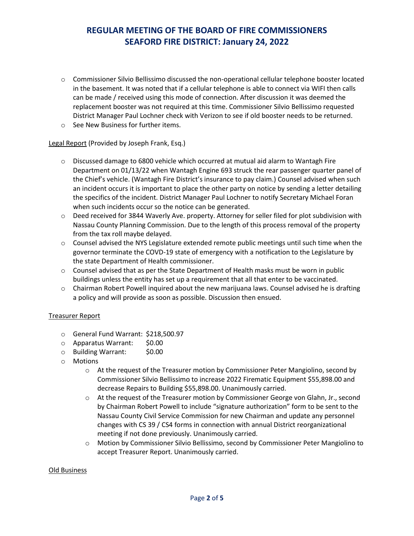- o Commissioner Silvio Bellissimo discussed the non-operational cellular telephone booster located in the basement. It was noted that if a cellular telephone is able to connect via WIFI then calls can be made / received using this mode of connection. After discussion it was deemed the replacement booster was not required at this time. Commissioner Silvio Bellissimo requested District Manager Paul Lochner check with Verizon to see if old booster needs to be returned.
- o See New Business for further items.

Legal Report (Provided by Joseph Frank, Esq.)

- $\circ$  Discussed damage to 6800 vehicle which occurred at mutual aid alarm to Wantagh Fire Department on 01/13/22 when Wantagh Engine 693 struck the rear passenger quarter panel of the Chief's vehicle. (Wantagh Fire District's insurance to pay claim.) Counsel advised when such an incident occurs it is important to place the other party on notice by sending a letter detailing the specifics of the incident. District Manager Paul Lochner to notify Secretary Michael Foran when such incidents occur so the notice can be generated.
- o Deed received for 3844 Waverly Ave. property. Attorney for seller filed for plot subdivision with Nassau County Planning Commission. Due to the length of this process removal of the property from the tax roll maybe delayed.
- $\circ$  Counsel advised the NYS Legislature extended remote public meetings until such time when the governor terminate the COVD-19 state of emergency with a notification to the Legislature by the state Department of Health commissioner.
- $\circ$  Counsel advised that as per the State Department of Health masks must be worn in public buildings unless the entity has set up a requirement that all that enter to be vaccinated.
- $\circ$  Chairman Robert Powell inquired about the new marijuana laws. Counsel advised he is drafting a policy and will provide as soon as possible. Discussion then ensued.

### Treasurer Report

- o General Fund Warrant: \$218,500.97
- o Apparatus Warrant: \$0.00
- o Building Warrant: \$0.00
- o Motions
	- $\circ$  At the request of the Treasurer motion by Commissioner Peter Mangiolino, second by Commissioner Silvio Bellissimo to increase 2022 Firematic Equipment \$55,898.00 and decrease Repairs to Building \$55,898.00. Unanimously carried.
	- o At the request of the Treasurer motion by Commissioner George von Glahn, Jr., second by Chairman Robert Powell to include "signature authorization" form to be sent to the Nassau County Civil Service Commission for new Chairman and update any personnel changes with CS 39 / CS4 forms in connection with annual District reorganizational meeting if not done previously. Unanimously carried.
	- o Motion by Commissioner Silvio Bellissimo, second by Commissioner Peter Mangiolino to accept Treasurer Report. Unanimously carried.

#### Old Business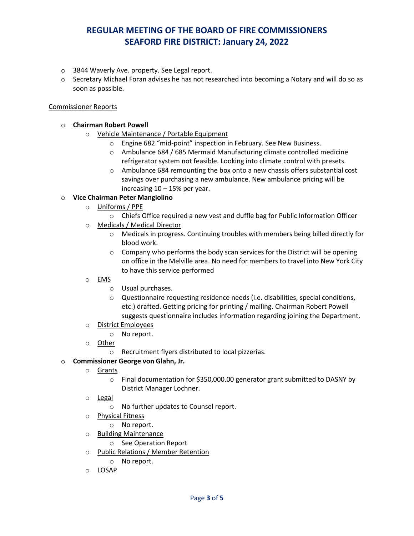- o 3844 Waverly Ave. property. See Legal report.
- $\circ$  Secretary Michael Foran advises he has not researched into becoming a Notary and will do so as soon as possible.

#### Commissioner Reports

### o **Chairman Robert Powell**

- o Vehicle Maintenance / Portable Equipment
	- o Engine 682 "mid-point" inspection in February. See New Business.
	- o Ambulance 684 / 685 Mermaid Manufacturing climate controlled medicine refrigerator system not feasible. Looking into climate control with presets.
	- o Ambulance 684 remounting the box onto a new chassis offers substantial cost savings over purchasing a new ambulance. New ambulance pricing will be increasing  $10 - 15%$  per year.

### o **Vice Chairman Peter Mangiolino**

- o Uniforms / PPE
	- o Chiefs Office required a new vest and duffle bag for Public Information Officer
- o Medicals / Medical Director
	- o Medicals in progress. Continuing troubles with members being billed directly for blood work.
	- o Company who performs the body scan services for the District will be opening on office in the Melville area. No need for members to travel into New York City to have this service performed
- o EMS
	- o Usual purchases.
	- o Questionnaire requesting residence needs (i.e. disabilities, special conditions, etc.) drafted. Getting pricing for printing / mailing. Chairman Robert Powell suggests questionnaire includes information regarding joining the Department.
- o District Employees
	- o No report.
- o Other
	- o Recruitment flyers distributed to local pizzerias.

### o **Commissioner George von Glahn, Jr.**

- o Grants
	- o Final documentation for \$350,000.00 generator grant submitted to DASNY by District Manager Lochner.
- o **Legal** 
	- o No further updates to Counsel report.
- o Physical Fitness
	- o No report.
- o Building Maintenance
	- o See Operation Report
- o Public Relations / Member Retention
	- o No report.
- o LOSAP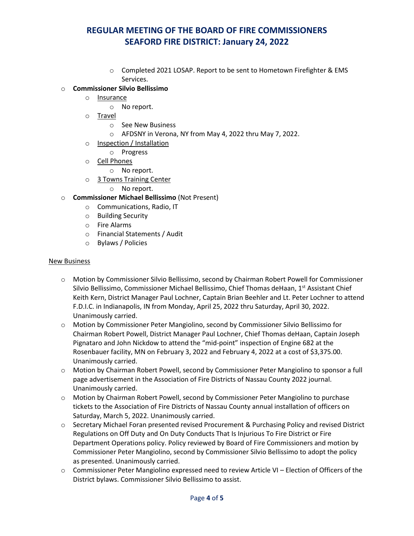o Completed 2021 LOSAP. Report to be sent to Hometown Firefighter & EMS Services.

### o **Commissioner Silvio Bellissimo**

- o Insurance
	- o No report.
- o Travel
	- o See New Business
	- o AFDSNY in Verona, NY from May 4, 2022 thru May 7, 2022.
- o Inspection / Installation
	- o Progress
- o Cell Phones
	- o No report.
- o 3 Towns Training Center
	- o No report.
- o **Commissioner Michael Bellissimo** (Not Present)
	- o Communications, Radio, IT
	- o Building Security
	- o Fire Alarms
	- o Financial Statements / Audit
	- o Bylaws / Policies

#### New Business

- o Motion by Commissioner Silvio Bellissimo, second by Chairman Robert Powell for Commissioner Silvio Bellissimo, Commissioner Michael Bellissimo, Chief Thomas deHaan, 1<sup>st</sup> Assistant Chief Keith Kern, District Manager Paul Lochner, Captain Brian Beehler and Lt. Peter Lochner to attend F.D.I.C. in Indianapolis, IN from Monday, April 25, 2022 thru Saturday, April 30, 2022. Unanimously carried.
- o Motion by Commissioner Peter Mangiolino, second by Commissioner Silvio Bellissimo for Chairman Robert Powell, District Manager Paul Lochner, Chief Thomas deHaan, Captain Joseph Pignataro and John Nickdow to attend the "mid-point" inspection of Engine 682 at the Rosenbauer facility, MN on February 3, 2022 and February 4, 2022 at a cost of \$3,375.00. Unanimously carried.
- o Motion by Chairman Robert Powell, second by Commissioner Peter Mangiolino to sponsor a full page advertisement in the Association of Fire Districts of Nassau County 2022 journal. Unanimously carried.
- o Motion by Chairman Robert Powell, second by Commissioner Peter Mangiolino to purchase tickets to the Association of Fire Districts of Nassau County annual installation of officers on Saturday, March 5, 2022. Unanimously carried.
- o Secretary Michael Foran presented revised Procurement & Purchasing Policy and revised District Regulations on Off Duty and On Duty Conducts That Is Injurious To Fire District or Fire Department Operations policy. Policy reviewed by Board of Fire Commissioners and motion by Commissioner Peter Mangiolino, second by Commissioner Silvio Bellissimo to adopt the policy as presented. Unanimously carried.
- o Commissioner Peter Mangiolino expressed need to review Article VI Election of Officers of the District bylaws. Commissioner Silvio Bellissimo to assist.